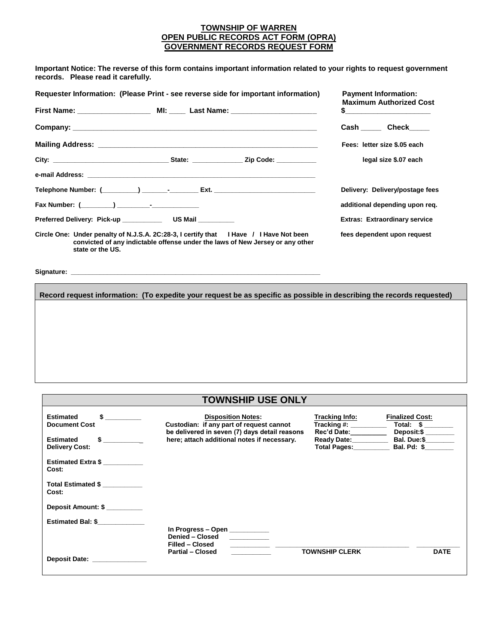## **TOWNSHIP OF WARREN OPEN PUBLIC RECORDS ACT FORM (OPRA) GOVERNMENT RECORDS REQUEST FORM**

**Important Notice: The reverse of this form contains important information related to your rights to request government records. Please read it carefully.** 

| Requester Information: (Please Print - see reverse side for important information)                         |  |  |                                                                               | <b>Payment Information:</b><br><b>Maximum Authorized Cost</b> |                                      |  |
|------------------------------------------------------------------------------------------------------------|--|--|-------------------------------------------------------------------------------|---------------------------------------------------------------|--------------------------------------|--|
|                                                                                                            |  |  |                                                                               |                                                               |                                      |  |
|                                                                                                            |  |  |                                                                               |                                                               | Cash Check                           |  |
|                                                                                                            |  |  |                                                                               |                                                               | Fees: letter size \$.05 each         |  |
|                                                                                                            |  |  |                                                                               |                                                               | legal size \$.07 each                |  |
|                                                                                                            |  |  |                                                                               |                                                               |                                      |  |
| Telephone Number: (_________) __________________Ext. ___________________________                           |  |  |                                                                               |                                                               | Delivery: Delivery/postage fees      |  |
|                                                                                                            |  |  |                                                                               |                                                               | additional depending upon req.       |  |
|                                                                                                            |  |  |                                                                               |                                                               | <b>Extras: Extraordinary service</b> |  |
| Circle One: Under penalty of N.J.S.A. 2C:28-3, I certify that I Have / I Have Not been<br>state or the US. |  |  | convicted of any indictable offense under the laws of New Jersey or any other |                                                               | fees dependent upon request          |  |

Signature:

**Record request information: (To expedite your request be as specific as possible in describing the records requested)**

## **TOWNSHIP USE ONLY**

| \$<br><b>Estimated</b><br><b>Document Cost</b>                                                                                                                                                                                | <b>Disposition Notes:</b><br>Custodian: if any part of request cannot<br>be delivered in seven (7) days detail reasons | Tracking Info:<br>Tracking #:<br><b>Rec'd Date:</b> | <b>Finalized Cost:</b><br>Total: \$<br>Deposit:\$ |
|-------------------------------------------------------------------------------------------------------------------------------------------------------------------------------------------------------------------------------|------------------------------------------------------------------------------------------------------------------------|-----------------------------------------------------|---------------------------------------------------|
| <b>Estimated</b><br>$s \sim$<br><b>Delivery Cost:</b>                                                                                                                                                                         | here; attach additional notes if necessary.                                                                            | <b>Ready Date:</b><br><b>Total Pages:</b>           | Bal. Due:\$<br>Bal. Pd: \$                        |
| <b>Estimated Extra \$</b><br>Cost:                                                                                                                                                                                            |                                                                                                                        |                                                     |                                                   |
| Total Estimated \$<br>Cost:                                                                                                                                                                                                   |                                                                                                                        |                                                     |                                                   |
| <b>Deposit Amount: \$</b>                                                                                                                                                                                                     |                                                                                                                        |                                                     |                                                   |
| <b>Estimated Bal: \$</b>                                                                                                                                                                                                      | In Progress $-$ Open<br>Denied - Closed<br>Filled - Closed                                                             |                                                     |                                                   |
| Deposit Date: the contract of the contract of the contract of the contract of the contract of the contract of the contract of the contract of the contract of the contract of the contract of the contract of the contract of | <b>Partial - Closed</b>                                                                                                | <b>TOWNSHIP CLERK</b>                               | <b>DATE</b>                                       |